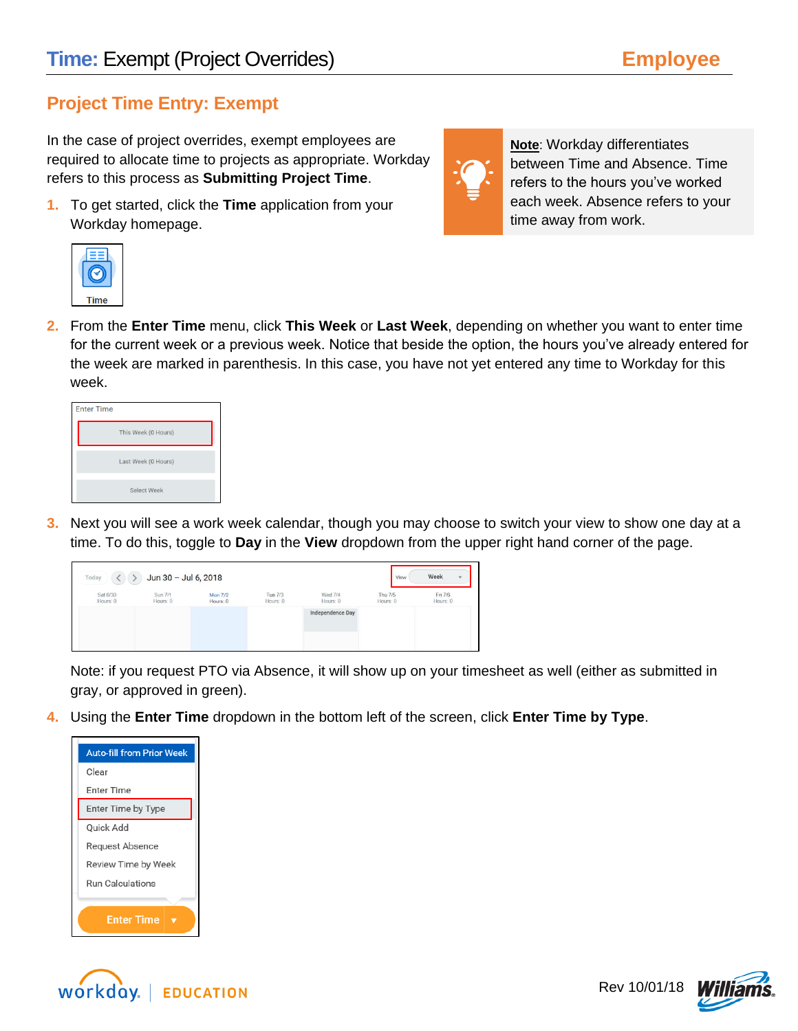## **Project Time Entry: Exempt**

In the case of project overrides, exempt employees are required to allocate time to projects as appropriate. Workday refers to this process as **Submitting Project Time**.

**1.** To get started, click the **Time** application from your Workday homepage.



**2.** From the **Enter Time** menu, click **This Week** or **Last Week**, depending on whether you want to enter time for the current week or a previous week. Notice that beside the option, the hours you've already entered for the week are marked in parenthesis. In this case, you have not yet entered any time to Workday for this week.

| <b>Enter Time</b> |                     |
|-------------------|---------------------|
|                   | This Week (0 Hours) |
|                   | Last Week (0 Hours) |
|                   | <b>Select Week</b>  |

**3.** Next you will see a work week calendar, though you may choose to switch your view to show one day at a time. To do this, toggle to **Day** in the **View** dropdown from the upper right hand corner of the page.



Note: if you request PTO via Absence, it will show up on your timesheet as well (either as submitted in gray, or approved in green).

**4.** Using the **Enter Time** dropdown in the bottom left of the screen, click **Enter Time by Type**.







**Note**: Workday differentiates between Time and Absence. Time refers to the hours you've worked each week. Absence refers to your time away from work.

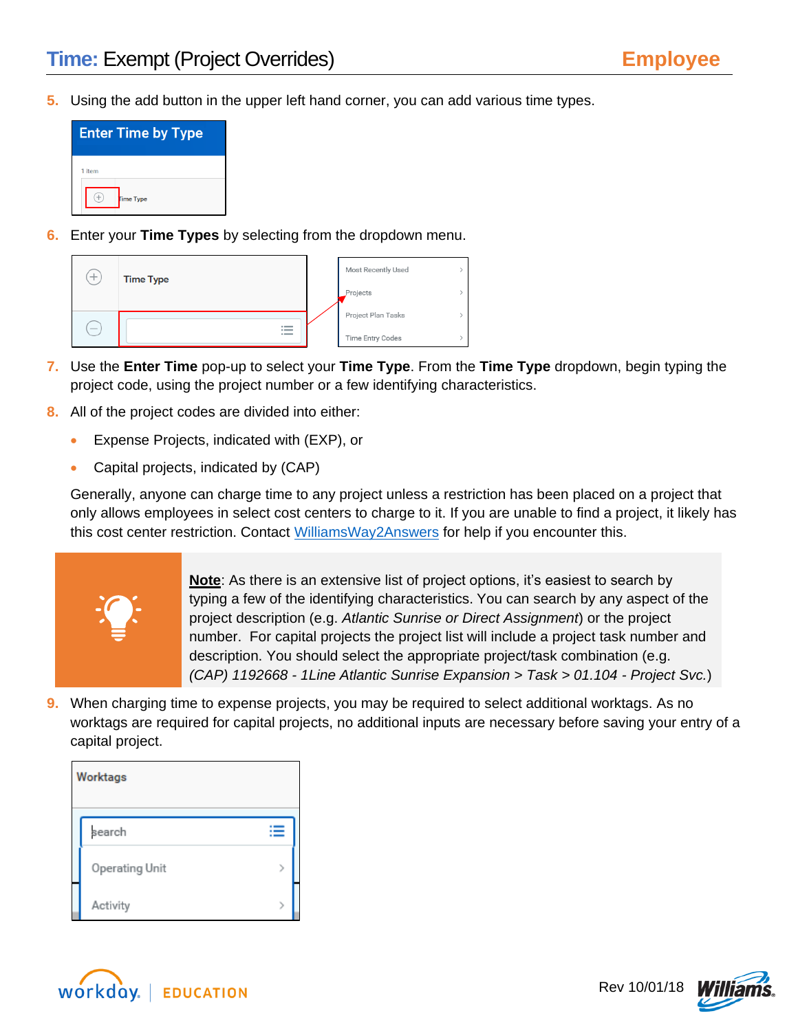**5.** Using the add button in the upper left hand corner, you can add various time types.



**6.** Enter your **Time Types** by selecting from the dropdown menu.

| ᆠ                               | <b>Time Type</b>         | Most Recently Used |  |
|---------------------------------|--------------------------|--------------------|--|
|                                 |                          | Projects           |  |
|                                 |                          | Project Plan Tasks |  |
| $\hspace{0.1mm}-\hspace{0.1mm}$ | $\overline{\phantom{a}}$ | Time Entry Codes   |  |

- **7.** Use the **Enter Time** pop-up to select your **Time Type**. From the **Time Type** dropdown, begin typing the project code, using the project number or a few identifying characteristics.
- **8.** All of the project codes are divided into either:
	- Expense Projects, indicated with (EXP), or
	- Capital projects, indicated by (CAP)

Generally, anyone can charge time to any project unless a restriction has been placed on a project that only allows employees in select cost centers to charge to it. If you are unable to find a project, it likely has this cost center restriction. Contact [WilliamsWay2Answers](file://///Mercer.com/us_eworking/CAR/COMM/EAST/CLIENT/U-Z/WILCOS/2018/Workday/QRGs/Training/Employee/Employee%20-%20Exempt%20Non%20Project%20Time%20Entry.docx) for help if you encounter this.



**Note**: As there is an extensive list of project options, it's easiest to search by typing a few of the identifying characteristics. You can search by any aspect of the project description (e.g. *Atlantic Sunrise or Direct Assignment*) or the project number. For capital projects the project list will include a project task number and description. You should select the appropriate project/task combination (e.g. *(CAP) 1192668 - 1Line Atlantic Sunrise Expansion > Task > 01.104 - Project Svc.*)

**9.** When charging time to expense projects, you may be required to select additional worktags. As no worktags are required for capital projects, no additional inputs are necessary before saving your entry of a capital project.

| <b>Worktags</b> |  |
|-----------------|--|
| search          |  |
| Operating Unit  |  |
| Activity        |  |



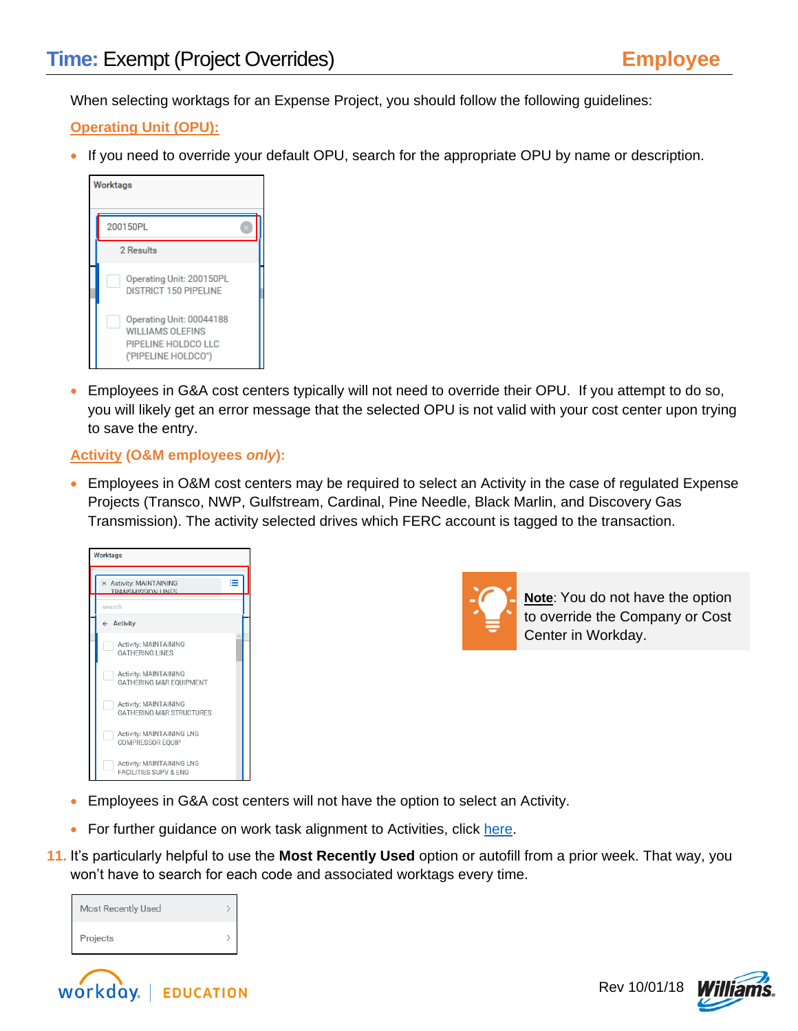When selecting worktags for an Expense Project, you should follow the following guidelines:

## **Operating Unit (OPU):**

• If you need to override your default OPU, search for the appropriate OPU by name or description.

| <b>Worktags</b>                                                                                   |  |
|---------------------------------------------------------------------------------------------------|--|
| 200150PL                                                                                          |  |
| 2 Results                                                                                         |  |
| Operating Unit: 200150PL<br>DISTRICT 150 PIPELINE                                                 |  |
| Operating Unit: 00044188<br><b>WILLIAMS OLEFINS</b><br>PIPELINE HOLDCO LLC<br>('PIPELINE HOLDCO") |  |

 Employees in G&A cost centers typically will not need to override their OPU. If you attempt to do so, you will likely get an error message that the selected OPU is not valid with your cost center upon trying to save the entry.

## **Activity (O&M employees** *only***):**

 Employees in O&M cost centers may be required to select an Activity in the case of regulated Expense Projects (Transco, NWP, Gulfstream, Cardinal, Pine Needle, Black Marlin, and Discovery Gas Transmission). The activity selected drives which FERC account is tagged to the transaction.

| <b>Worktags</b>                                               |   |  |
|---------------------------------------------------------------|---|--|
| X Activity: MAINTAINING<br>TRANSMISSION LINES                 | ≔ |  |
| search                                                        |   |  |
| $\leftarrow$ Activity                                         |   |  |
| Activity: MAINTAINING<br><b>GATHERING LINES</b>               |   |  |
| Activity: MAINTAINING<br>GATHERING M&R EOUIPMENT              |   |  |
| Activity: MAINTAINING<br><b>GATHERING M&amp;R STRUCTURES</b>  |   |  |
| Activity: MAINTAINING LNG<br>COMPRESSOR EQUIP                 |   |  |
| Activity: MAINTAINING LNG<br><b>FACILITIES SUPV &amp; FNG</b> |   |  |



**Note**: You do not have the option to override the Company or Cost Center in Workday.

- Employees in G&A cost centers will not have the option to select an Activity.
- For further guidance on work task alignment to Activities, click [here.](http://my.williams.com/depts/enterprise/ent_accounting/Pages/Account-Coding.aspx)
- **11.** It's particularly helpful to use the **Most Recently Used** option or autofill from a prior week. That way, you won't have to search for each code and associated worktags every time.

| <b>Most Recently Used</b> |  |
|---------------------------|--|
| Projects                  |  |



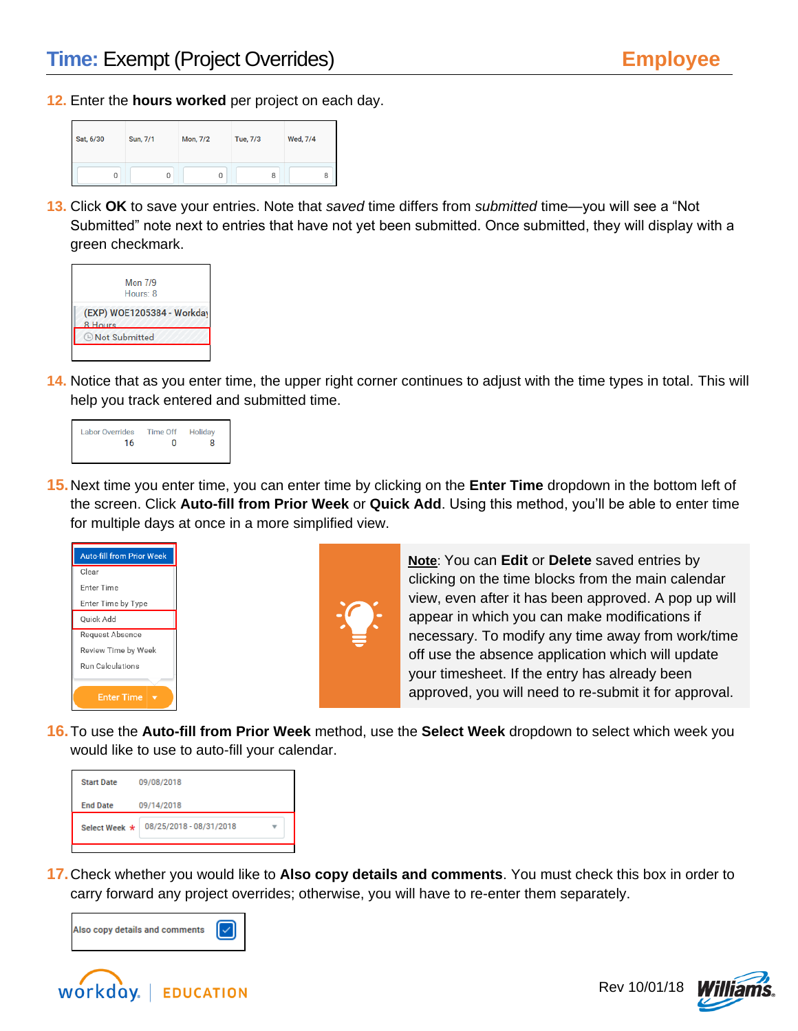**12.** Enter the **hours worked** per project on each day.

| Sat, 6/30 |   | Sun, 7/1 |   | Mon, 7/2 |   | Tue, 7/3 |   | Wed, 7/4 |   |
|-----------|---|----------|---|----------|---|----------|---|----------|---|
|           | 0 |          | 0 |          | U |          | 8 |          | 8 |

**13.** Click **OK** to save your entries. Note that *saved* time differs from *submitted* time—you will see a "Not Submitted" note next to entries that have not yet been submitted. Once submitted, they will display with a green checkmark.



**14.** Notice that as you enter time, the upper right corner continues to adjust with the time types in total. This will help you track entered and submitted time.



**15.**Next time you enter time, you can enter time by clicking on the **Enter Time** dropdown in the bottom left of the screen. Click **Auto-fill from Prior Week** or **Quick Add**. Using this method, you'll be able to enter time for multiple days at once in a more simplified view.





**Note**: You can **Edit** or **Delete** saved entries by clicking on the time blocks from the main calendar view, even after it has been approved. A pop up will appear in which you can make modifications if necessary. To modify any time away from work/time off use the absence application which will update your timesheet. If the entry has already been approved, you will need to re-submit it for approval.

**16.**To use the **Auto-fill from Prior Week** method, use the **Select Week** dropdown to select which week you would like to use to auto-fill your calendar.



**17.**Check whether you would like to **Also copy details and comments**. You must check this box in order to carry forward any project overrides; otherwise, you will have to re-enter them separately.